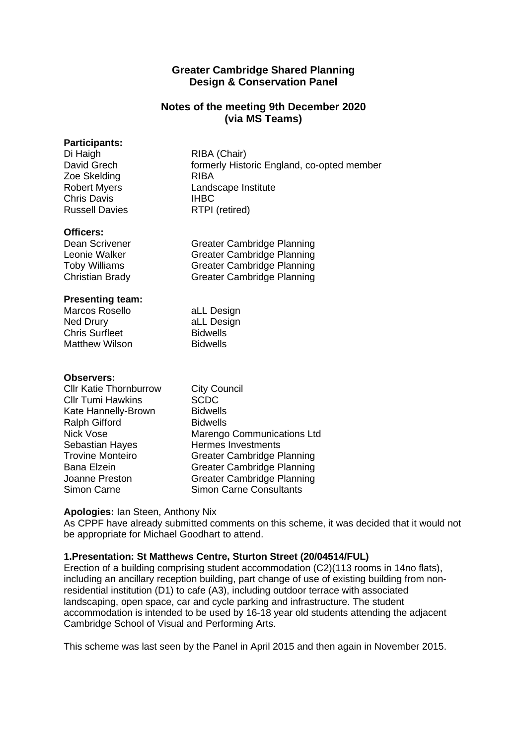## **Greater Cambridge Shared Planning Design & Conservation Panel**

## **Notes of the meeting 9th December 2020 (via MS Teams)**

Greater Cambridge Planning

Greater Cambridge Planning

#### **Participants:**

| RIBA (Chair)                               |
|--------------------------------------------|
| formerly Historic England, co-opted member |
| <b>RIBA</b>                                |
| Landscape Institute                        |
| <b>IHBC</b>                                |
| RTPI (retired)                             |
|                                            |

**Officers:**<br>Dean Scrivener Leonie Walker Greater Cambridge Planning Toby Williams<br>
Christian Brady<br>
Greater Cambridge Planning<br>
Greater Cambridge Planning

#### **Presenting team:**

| Marcos Rosello        | aLL Design      |
|-----------------------|-----------------|
| Ned Drury             | aLL Design      |
| <b>Chris Surfleet</b> | <b>Bidwells</b> |
| <b>Matthew Wilson</b> | <b>Bidwells</b> |

#### **Observers:**

| <b>Cllr Katie Thornburrow</b> | <b>City Council</b>               |
|-------------------------------|-----------------------------------|
| <b>Cllr Tumi Hawkins</b>      | <b>SCDC</b>                       |
| Kate Hannelly-Brown           | <b>Bidwells</b>                   |
| <b>Ralph Gifford</b>          | <b>Bidwells</b>                   |
| Nick Vose                     | <b>Marengo Communications Ltd</b> |
| <b>Sebastian Hayes</b>        | <b>Hermes Investments</b>         |
| <b>Trovine Monteiro</b>       | <b>Greater Cambridge Planning</b> |
| <b>Bana Elzein</b>            | <b>Greater Cambridge Planning</b> |
| Joanne Preston                | <b>Greater Cambridge Planning</b> |
| <b>Simon Carne</b>            | <b>Simon Carne Consultants</b>    |
|                               |                                   |

## **Apologies:** Ian Steen, Anthony Nix

As CPPF have already submitted comments on this scheme, it was decided that it would not be appropriate for Michael Goodhart to attend.

## **1.Presentation: St Matthews Centre, Sturton Street (20/04514/FUL)**

Erection of a building comprising student accommodation (C2)(113 rooms in 14no flats), including an ancillary reception building, part change of use of existing building from nonresidential institution (D1) to cafe (A3), including outdoor terrace with associated landscaping, open space, car and cycle parking and infrastructure. The student accommodation is intended to be used by 16-18 year old students attending the adjacent Cambridge School of Visual and Performing Arts.

This scheme was last seen by the Panel in April 2015 and then again in November 2015.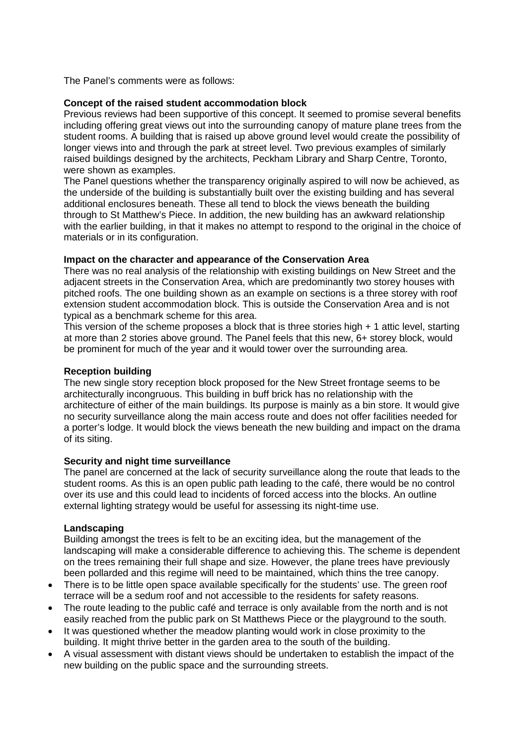The Panel's comments were as follows:

#### **Concept of the raised student accommodation block**

Previous reviews had been supportive of this concept. It seemed to promise several benefits including offering great views out into the surrounding canopy of mature plane trees from the student rooms. A building that is raised up above ground level would create the possibility of longer views into and through the park at street level. Two previous examples of similarly raised buildings designed by the architects, Peckham Library and Sharp Centre, Toronto, were shown as examples.

The Panel questions whether the transparency originally aspired to will now be achieved, as the underside of the building is substantially built over the existing building and has several additional enclosures beneath. These all tend to block the views beneath the building through to St Matthew's Piece. In addition, the new building has an awkward relationship with the earlier building, in that it makes no attempt to respond to the original in the choice of materials or in its configuration.

## **Impact on the character and appearance of the Conservation Area**

There was no real analysis of the relationship with existing buildings on New Street and the adjacent streets in the Conservation Area, which are predominantly two storey houses with pitched roofs. The one building shown as an example on sections is a three storey with roof extension student accommodation block. This is outside the Conservation Area and is not typical as a benchmark scheme for this area.

This version of the scheme proposes a block that is three stories high + 1 attic level, starting at more than 2 stories above ground. The Panel feels that this new, 6+ storey block, would be prominent for much of the year and it would tower over the surrounding area.

#### **Reception building**

The new single story reception block proposed for the New Street frontage seems to be architecturally incongruous. This building in buff brick has no relationship with the architecture of either of the main buildings. Its purpose is mainly as a bin store. It would give no security surveillance along the main access route and does not offer facilities needed for a porter's lodge. It would block the views beneath the new building and impact on the drama of its siting.

## **Security and night time surveillance**

The panel are concerned at the lack of security surveillance along the route that leads to the student rooms. As this is an open public path leading to the café, there would be no control over its use and this could lead to incidents of forced access into the blocks. An outline external lighting strategy would be useful for assessing its night-time use.

## **Landscaping**

Building amongst the trees is felt to be an exciting idea, but the management of the landscaping will make a considerable difference to achieving this. The scheme is dependent on the trees remaining their full shape and size. However, the plane trees have previously been pollarded and this regime will need to be maintained, which thins the tree canopy.

- There is to be little open space available specifically for the students' use. The green roof terrace will be a sedum roof and not accessible to the residents for safety reasons.
- The route leading to the public café and terrace is only available from the north and is not easily reached from the public park on St Matthews Piece or the playground to the south.
- It was questioned whether the meadow planting would work in close proximity to the building. It might thrive better in the garden area to the south of the building.
- A visual assessment with distant views should be undertaken to establish the impact of the new building on the public space and the surrounding streets.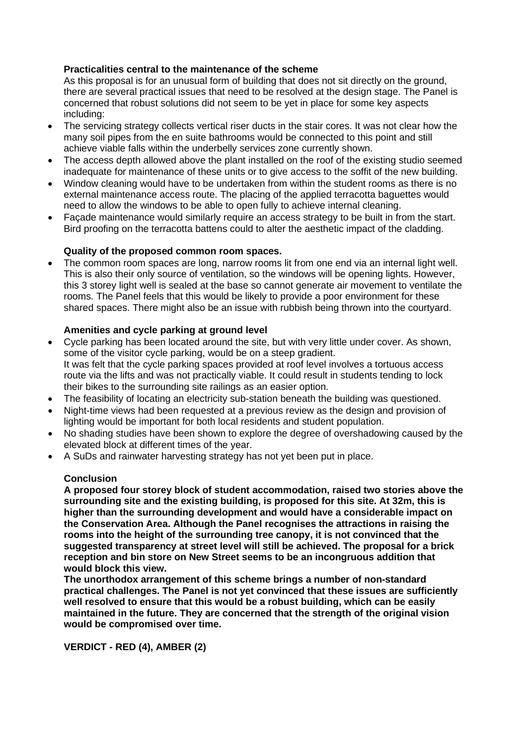## **Practicalities central to the maintenance of the scheme**

As this proposal is for an unusual form of building that does not sit directly on the ground, there are several practical issues that need to be resolved at the design stage. The Panel is concerned that robust solutions did not seem to be yet in place for some key aspects including:

- The servicing strategy collects vertical riser ducts in the stair cores. It was not clear how the many soil pipes from the en suite bathrooms would be connected to this point and still achieve viable falls within the underbelly services zone currently shown.
- The access depth allowed above the plant installed on the roof of the existing studio seemed inadequate for maintenance of these units or to give access to the soffit of the new building.
- Window cleaning would have to be undertaken from within the student rooms as there is no external maintenance access route. The placing of the applied terracotta baguettes would need to allow the windows to be able to open fully to achieve internal cleaning.
- Façade maintenance would similarly require an access strategy to be built in from the start. Bird proofing on the terracotta battens could to alter the aesthetic impact of the cladding.

## **Quality of the proposed common room spaces.**

• The common room spaces are long, narrow rooms lit from one end via an internal light well. This is also their only source of ventilation, so the windows will be opening lights. However, this 3 storey light well is sealed at the base so cannot generate air movement to ventilate the rooms. The Panel feels that this would be likely to provide a poor environment for these shared spaces. There might also be an issue with rubbish being thrown into the courtyard.

## **Amenities and cycle parking at ground level**

- Cycle parking has been located around the site, but with very little under cover. As shown, some of the visitor cycle parking, would be on a steep gradient. It was felt that the cycle parking spaces provided at roof level involves a tortuous access route via the lifts and was not practically viable. It could result in students tending to lock their bikes to the surrounding site railings as an easier option.
- The feasibility of locating an electricity sub-station beneath the building was questioned.
- Night-time views had been requested at a previous review as the design and provision of lighting would be important for both local residents and student population.
- No shading studies have been shown to explore the degree of overshadowing caused by the elevated block at different times of the year.
- A SuDs and rainwater harvesting strategy has not yet been put in place.

## **Conclusion**

**A proposed four storey block of student accommodation, raised two stories above the surrounding site and the existing building, is proposed for this site. At 32m, this is higher than the surrounding development and would have a considerable impact on the Conservation Area. Although the Panel recognises the attractions in raising the rooms into the height of the surrounding tree canopy, it is not convinced that the suggested transparency at street level will still be achieved. The proposal for a brick reception and bin store on New Street seems to be an incongruous addition that would block this view.**

**The unorthodox arrangement of this scheme brings a number of non-standard practical challenges. The Panel is not yet convinced that these issues are sufficiently well resolved to ensure that this would be a robust building, which can be easily maintained in the future. They are concerned that the strength of the original vision would be compromised over time.**

**VERDICT - RED (4), AMBER (2)**